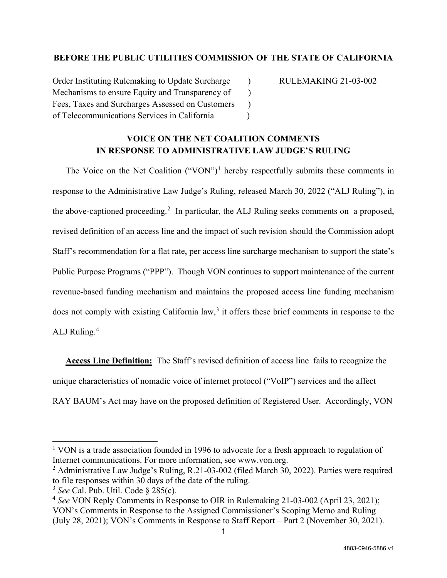## **BEFORE THE PUBLIC UTILITIES COMMISSION OF THE STATE OF CALIFORNIA**

Order Instituting Rulemaking to Update Surcharge (a) RULEMAKING 21-03-002 Mechanisms to ensure Equity and Transparency of ) Fees, Taxes and Surcharges Assessed on Customers ) of Telecommunications Services in California )

## **VOICE ON THE NET COALITION COMMENTS IN RESPONSE TO ADMINISTRATIVE LAW JUDGE'S RULING**

The Voice on the Net Coalition  $("VON")<sup>1</sup>$  $("VON")<sup>1</sup>$  $("VON")<sup>1</sup>$  hereby respectfully submits these comments in response to the Administrative Law Judge's Ruling, released March 30, 2022 ("ALJ Ruling"), in the above-captioned proceeding.<sup>[2](#page-0-1)</sup> In particular, the ALJ Ruling seeks comments on a proposed, revised definition of an access line and the impact of such revision should the Commission adopt Staff's recommendation for a flat rate, per access line surcharge mechanism to support the state's Public Purpose Programs ("PPP"). Though VON continues to support maintenance of the current revenue-based funding mechanism and maintains the proposed access line funding mechanism does not comply with existing California law, [3](#page-0-2) it offers these brief comments in response to the ALJ Ruling. [4](#page-0-3)

**Access Line Definition:** The Staff's revised definition of access line fails to recognize the unique characteristics of nomadic voice of internet protocol ("VoIP") services and the affect RAY BAUM's Act may have on the proposed definition of Registered User. Accordingly, VON

<span id="page-0-0"></span><sup>&</sup>lt;sup>1</sup> VON is a trade association founded in 1996 to advocate for a fresh approach to regulation of Internet communications. For more information, see www.von.org.

<span id="page-0-1"></span><sup>&</sup>lt;sup>2</sup> Administrative Law Judge's Ruling, R.21-03-002 (filed March 30, 2022). Parties were required to file responses within 30 days of the date of the ruling.

<span id="page-0-2"></span><sup>3</sup> *See* Cal. Pub. Util. Code § 285(c).

<span id="page-0-3"></span><sup>4</sup> *See* VON Reply Comments in Response to OIR in Rulemaking 21-03-002 (April 23, 2021); VON's Comments in Response to the Assigned Commissioner's Scoping Memo and Ruling (July 28, 2021); VON's Comments in Response to Staff Report – Part 2 (November 30, 2021).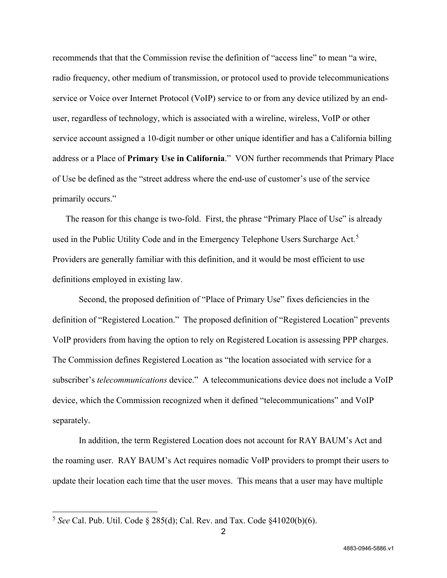recommends that that the Commission revise the definition of "access line" to mean "a wire, radio frequency, other medium of transmission, or protocol used to provide telecommunications service or Voice over Internet Protocol (VoIP) service to or from any device utilized by an enduser, regardless of technology, which is associated with a wireline, wireless, VoIP or other service account assigned a 10-digit number or other unique identifier and has a California billing address or a Place of **Primary Use in California**." VON further recommends that Primary Place of Use be defined as the "street address where the end-use of customer's use of the service primarily occurs."

The reason for this change is two-fold. First, the phrase "Primary Place of Use" is already used in the Public Utility Code and in the Emergency Telephone Users Surcharge Act.<sup>[5](#page-1-0)</sup> Providers are generally familiar with this definition, and it would be most efficient to use definitions employed in existing law.

Second, the proposed definition of "Place of Primary Use" fixes deficiencies in the definition of "Registered Location." The proposed definition of "Registered Location" prevents VoIP providers from having the option to rely on Registered Location is assessing PPP charges. The Commission defines Registered Location as "the location associated with service for a subscriber's *telecommunications* device." A telecommunications device does not include a VoIP device, which the Commission recognized when it defined "telecommunications" and VoIP separately.

 In addition, the term Registered Location does not account for RAY BAUM's Act and the roaming user. RAY BAUM's Act requires nomadic VoIP providers to prompt their users to update their location each time that the user moves. This means that a user may have multiple

<span id="page-1-0"></span><sup>5</sup> *See* Cal. Pub. Util. Code § 285(d); Cal. Rev. and Tax. Code §41020(b)(6).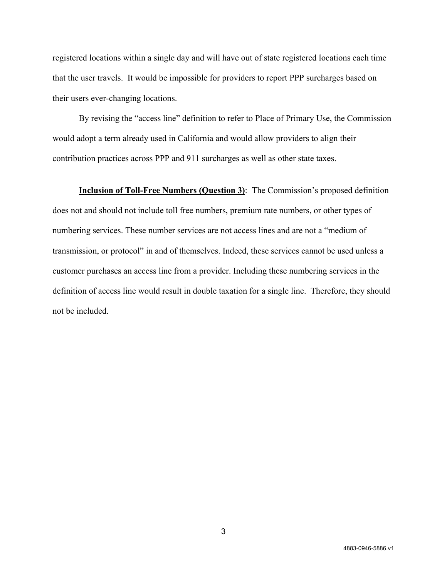registered locations within a single day and will have out of state registered locations each time that the user travels. It would be impossible for providers to report PPP surcharges based on their users ever-changing locations.

 By revising the "access line" definition to refer to Place of Primary Use, the Commission would adopt a term already used in California and would allow providers to align their contribution practices across PPP and 911 surcharges as well as other state taxes.

**Inclusion of Toll-Free Numbers (Question 3)**: The Commission's proposed definition does not and should not include toll free numbers, premium rate numbers, or other types of numbering services. These number services are not access lines and are not a "medium of transmission, or protocol" in and of themselves. Indeed, these services cannot be used unless a customer purchases an access line from a provider. Including these numbering services in the definition of access line would result in double taxation for a single line. Therefore, they should not be included.